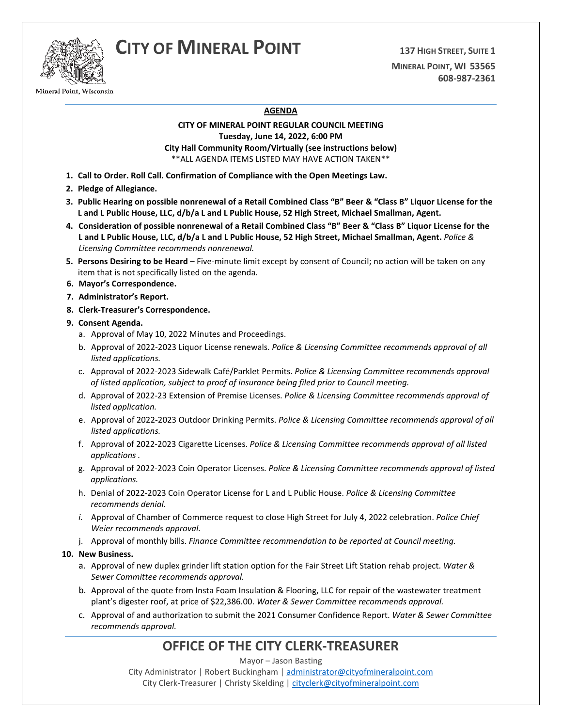# **CITY OF MINERAL POINT <sup>137</sup> HIGH STREET, SUITE 1**



Mineral Point, Wisconsin

**MINERAL POINT, WI 53565 608-987-2361**

### **AGENDA**

### **CITY OF MINERAL POINT REGULAR COUNCIL MEETING Tuesday, June 14, 2022, 6:00 PM City Hall Community Room/Virtually (see instructions below)** \*\*ALL AGENDA ITEMS LISTED MAY HAVE ACTION TAKEN\*\*

- **1. Call to Order. Roll Call. Confirmation of Compliance with the Open Meetings Law.**
- **2. Pledge of Allegiance.**
- **3. Public Hearing on possible nonrenewal of a Retail Combined Class "B" Beer & "Class B" Liquor License for the L and L Public House, LLC, d/b/a L and L Public House, 52 High Street, Michael Smallman, Agent.**
- **4. Consideration of possible nonrenewal of a Retail Combined Class "B" Beer & "Class B" Liquor License for the L and L Public House, LLC, d/b/a L and L Public House, 52 High Street, Michael Smallman, Agent.** *Police & Licensing Committee recommends nonrenewal.*
- **5. Persons Desiring to be Heard**  Five-minute limit except by consent of Council; no action will be taken on any item that is not specifically listed on the agenda.
- **6. Mayor's Correspondence.**
- **7. Administrator's Report.**
- **8. Clerk-Treasurer's Correspondence.**
- **9. Consent Agenda.** 
	- a. Approval of May 10, 2022 Minutes and Proceedings.
	- b. Approval of 2022-2023 Liquor License renewals. *Police & Licensing Committee recommends approval of all listed applications.*
	- c. Approval of 2022-2023 Sidewalk Café/Parklet Permits. *Police & Licensing Committee recommends approval of listed application, subject to proof of insurance being filed prior to Council meeting.*
	- d. Approval of 2022-23 Extension of Premise Licenses. *Police & Licensing Committee recommends approval of listed application.*
	- e. Approval of 2022-2023 Outdoor Drinking Permits. *Police & Licensing Committee recommends approval of all listed applications.*
	- f. Approval of 2022-2023 Cigarette Licenses. *Police & Licensing Committee recommends approval of all listed applications .*
	- g. Approval of 2022-2023 Coin Operator Licenses. *Police & Licensing Committee recommends approval of listed applications.*
	- h. Denial of 2022-2023 Coin Operator License for L and L Public House. *Police & Licensing Committee recommends denial.*
	- *i.* Approval of Chamber of Commerce request to close High Street for July 4, 2022 celebration. *Police Chief Weier recommends approval.*
	- j. Approval of monthly bills. *Finance Committee recommendation to be reported at Council meeting.*

### **10. New Business.**

- a. Approval of new duplex grinder lift station option for the Fair Street Lift Station rehab project. *Water & Sewer Committee recommends approval.*
- b. Approval of the quote from Insta Foam Insulation & Flooring, LLC for repair of the wastewater treatment plant's digester roof, at price of \$22,386.00. *Water & Sewer Committee recommends approval.*
- c. Approval of and authorization to submit the 2021 Consumer Confidence Report. *Water & Sewer Committee recommends approval.*

## **OFFICE OF THE CITY CLERK-TREASURER**

Mayor – Jason Basting

City Administrator | Robert Buckingham | [administrator@cityofmineralpoint.com](mailto:administrator@cityofmineralpoint.com) City Clerk-Treasurer | Christy Skelding [| cityclerk@cityofmineralpoint.com](mailto:cityclerk@cityofmineralpoint.com)